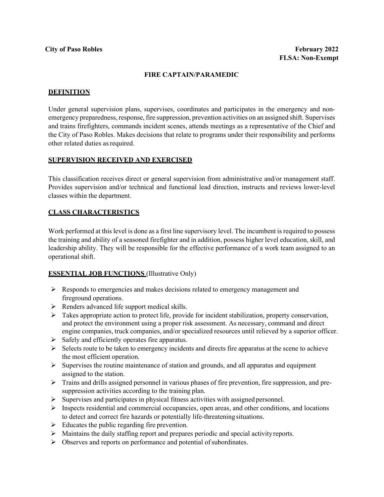#### **FIRE CAPTAIN/PARAMEDIC**

#### **DEFINITION**

Under general supervision plans, supervises, coordinates and participates in the emergency and nonemergency preparedness, response, fire suppression, prevention activities on an assigned shift. Supervises and trains firefighters, commands incident scenes, attends meetings as a representative of the Chief and the City of Paso Robles. Makes decisions that relate to programs under their responsibility and performs other related duties as required.

#### **SUPERVISION RECEIVED AND EXERCISED**

This classification receives direct or general supervision from administrative and/or management staff. Provides supervision and/or technical and functional lead direction, instructs and reviews lower-level classes within the department.

### **CLASS CHARACTERISTICS**

Work performed at this level is done as a first line supervisory level. The incumbent is required to possess the training and ability of a seasoned firefighter and in addition, possess higher level education, skill, and leadership ability. They will be responsible for the effective performance of a work team assigned to an operational shift.

### **ESSENTIAL JOB FUNCTIONS** (Illustrative Only)

- $\triangleright$  Responds to emergencies and makes decisions related to emergency management and fireground operations.
- $\triangleright$  Renders advanced life support medical skills.
- $\triangleright$  Takes appropriate action to protect life, provide for incident stabilization, property conservation, and protect the environment using a proper risk assessment. As necessary, command and direct engine companies, truck companies, and/or specialized resources until relieved by a superior officer.
- $\triangleright$  Safely and efficiently operates fire apparatus.
- $\triangleright$  Selects route to be taken to emergency incidents and directs fire apparatus at the scene to achieve the most efficient operation.
- $\triangleright$  Supervises the routine maintenance of station and grounds, and all apparatus and equipment assigned to the station.
- Trains and drills assigned personnel in various phases of fire prevention, fire suppression, and presuppression activities according to the training plan.
- $\triangleright$  Supervises and participates in physical fitness activities with assigned personnel.
- $\triangleright$  Inspects residential and commercial occupancies, open areas, and other conditions, and locations to detect and correct fire hazards or potentially life-threatening situations.
- $\triangleright$  Educates the public regarding fire prevention.
- $\triangleright$  Maintains the daily staffing report and prepares periodic and special activity reports.
- $\triangleright$  Observes and reports on performance and potential of subordinates.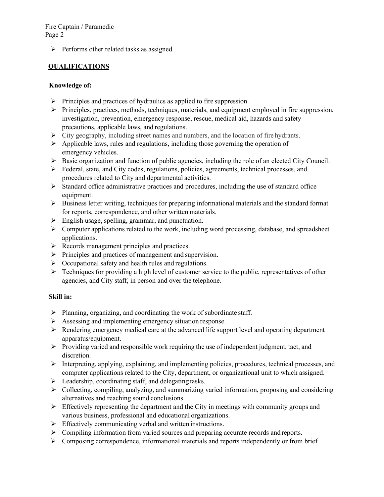$\triangleright$  Performs other related tasks as assigned.

# **QUALIFICATIONS**

## **Knowledge of:**

- $\triangleright$  Principles and practices of hydraulics as applied to fire suppression.
- $\triangleright$  Principles, practices, methods, techniques, materials, and equipment employed in fire suppression, investigation, prevention, emergency response, rescue, medical aid, hazards and safety precautions, applicable laws, and regulations.
- $\triangleright$  City geography, including street names and numbers, and the location of fire hydrants.
- $\triangleright$  Applicable laws, rules and regulations, including those governing the operation of emergency vehicles.
- $\triangleright$  Basic organization and function of public agencies, including the role of an elected City Council.
- Federal, state, and City codes, regulations, policies, agreements, technical processes, and procedures related to City and departmental activities.
- $\triangleright$  Standard office administrative practices and procedures, including the use of standard office equipment.
- $\triangleright$  Business letter writing, techniques for preparing informational materials and the standard format for reports, correspondence, and other written materials.
- $\triangleright$  English usage, spelling, grammar, and punctuation.
- $\triangleright$  Computer applications related to the work, including word processing, database, and spreadsheet applications.
- $\triangleright$  Records management principles and practices.
- $\triangleright$  Principles and practices of management and supervision.
- $\triangleright$  Occupational safety and health rules and regulations.
- $\triangleright$  Techniques for providing a high level of customer service to the public, representatives of other agencies, and City staff, in person and over the telephone.

## **Skill in:**

- $\triangleright$  Planning, organizing, and coordinating the work of subordinate staff.
- Assessing and implementing emergency situation response.
- $\triangleright$  Rendering emergency medical care at the advanced life support level and operating department apparatus/equipment.
- $\triangleright$  Providing varied and responsible work requiring the use of independent judgment, tact, and discretion.
- $\triangleright$  Interpreting, applying, explaining, and implementing policies, procedures, technical processes, and computer applications related to the City, department, or organizational unit to which assigned.
- $\triangleright$  Leadership, coordinating staff, and delegating tasks.
- Collecting, compiling, analyzing, and summarizing varied information, proposing and considering alternatives and reaching sound conclusions.
- $\triangleright$  Effectively representing the department and the City in meetings with community groups and various business, professional and educational organizations.
- $\triangleright$  Effectively communicating verbal and written instructions.
- Compiling information from varied sources and preparing accurate records and reports.
- $\triangleright$  Composing correspondence, informational materials and reports independently or from brief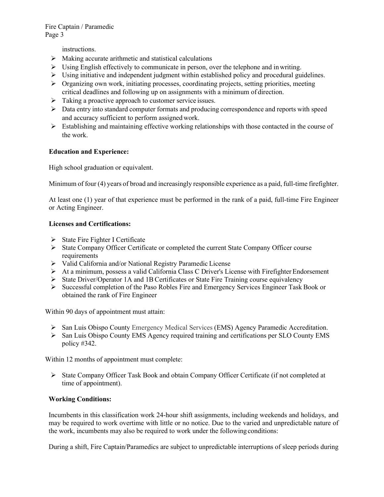instructions.

- $\triangleright$  Making accurate arithmetic and statistical calculations
- $\triangleright$  Using English effectively to communicate in person, over the telephone and in writing.
- $\triangleright$  Using initiative and independent judgment within established policy and procedural guidelines.
- $\triangleright$  Organizing own work, initiating processes, coordinating projects, setting priorities, meeting critical deadlines and following up on assignments with a minimum of direction.
- $\triangleright$  Taking a proactive approach to customer service issues.
- $\triangleright$  Data entry into standard computer formats and producing correspondence and reports with speed and accuracy sufficient to perform assigned work.
- $\triangleright$  Establishing and maintaining effective working relationships with those contacted in the course of the work.

# **Education and Experience:**

High school graduation or equivalent.

Minimum of four (4) years of broad and increasingly responsible experience as a paid, full-time firefighter.

At least one (1) year of that experience must be performed in the rank of a paid, full-time Fire Engineer or Acting Engineer.

## **Licenses and Certifications:**

- $\triangleright$  State Fire Fighter I Certificate
- State Company Officer Certificate or completed the current State Company Officer course requirements
- Valid California and/or National Registry Paramedic License
- $\triangleright$  At a minimum, possess a valid California Class C Driver's License with Firefighter Endorsement
- $\triangleright$  State Driver/Operator 1A and 1B Certificates or State Fire Training course equivalency
- $\triangleright$  Successful completion of the Paso Robles Fire and Emergency Services Engineer Task Book or obtained the rank of Fire Engineer

Within 90 days of appointment must attain:

- $\triangleright$  San Luis Obispo County Emergency Medical Services (EMS) Agency Paramedic Accreditation.
- $\triangleright$  San Luis Obispo County EMS Agency required training and certifications per SLO County EMS policy #342.

Within 12 months of appointment must complete:

 $\triangleright$  State Company Officer Task Book and obtain Company Officer Certificate (if not completed at time of appointment).

## **Working Conditions:**

Incumbents in this classification work 24-hour shift assignments, including weekends and holidays, and may be required to work overtime with little or no notice. Due to the varied and unpredictable nature of the work, incumbents may also be required to work under the following conditions:

During a shift, Fire Captain/Paramedics are subject to unpredictable interruptions of sleep periods during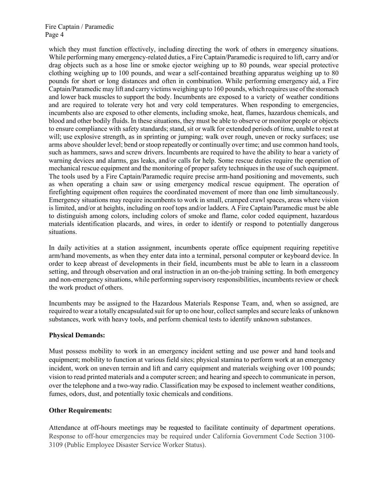which they must function effectively, including directing the work of others in emergency situations. While performing many emergency-related duties, a Fire Captain/Paramedic is required to lift, carry and/or drag objects such as a hose line or smoke ejector weighing up to 80 pounds, wear special protective clothing weighing up to 100 pounds, and wear a self-contained breathing apparatus weighing up to 80 pounds for short or long distances and often in combination. While performing emergency aid, a Fire Captain/Paramedic may lift and carry victims weighing up to 160 pounds, which requires use ofthe stomach and lower back muscles to support the body. Incumbents are exposed to a variety of weather conditions and are required to tolerate very hot and very cold temperatures. When responding to emergencies, incumbents also are exposed to other elements, including smoke, heat, flames, hazardous chemicals, and blood and other bodily fluids. In these situations, they must be able to observe or monitor people or objects to ensure compliance with safety standards; stand, sit or walk for extended periods of time, unable to rest at will; use explosive strength, as in sprinting or jumping; walk over rough, uneven or rocky surfaces; use arms above shoulder level; bend or stoop repeatedly or continually over time; and use common hand tools, such as hammers, saws and screw drivers. Incumbents are required to have the ability to hear a variety of warning devices and alarms, gas leaks, and/or calls for help. Some rescue duties require the operation of mechanical rescue equipment and the monitoring of proper safety techniques in the use of such equipment. The tools used by a Fire Captain/Paramedic require precise arm-hand positioning and movements, such as when operating a chain saw or using emergency medical rescue equipment. The operation of firefighting equipment often requires the coordinated movement of more than one limb simultaneously. Emergency situations may require incumbents to work in small, cramped crawl spaces, areas where vision is limited, and/or at heights, including on roof tops and/or ladders. A Fire Captain/Paramedic must be able to distinguish among colors, including colors of smoke and flame, color coded equipment, hazardous materials identification placards, and wires, in order to identify or respond to potentially dangerous situations.

In daily activities at a station assignment, incumbents operate office equipment requiring repetitive arm/hand movements, as when they enter data into a terminal, personal computer or keyboard device. In order to keep abreast of developments in their field, incumbents must be able to learn in a classroom setting, and through observation and oral instruction in an on-the-job training setting. In both emergency and non-emergency situations, while performing supervisory responsibilities, incumbents review or check the work product of others.

Incumbents may be assigned to the Hazardous Materials Response Team, and, when so assigned, are required to wear a totally encapsulated suit for up to one hour, collect samples and secure leaks of unknown substances, work with heavy tools, and perform chemical tests to identify unknown substances.

### **Physical Demands:**

Must possess mobility to work in an emergency incident setting and use power and hand tools and equipment; mobility to function at various field sites; physical stamina to perform work at an emergency incident, work on uneven terrain and lift and carry equipment and materials weighing over 100 pounds; vision to read printed materials and a computer screen; and hearing and speech to communicate in person, over the telephone and a two-way radio. Classification may be exposed to inclement weather conditions, fumes, odors, dust, and potentially toxic chemicals and conditions.

### **Other Requirements:**

Attendance at off-hours meetings may be requested to facilitate continuity of department operations. Response to off-hour emergencies may be required under California Government Code Section 3100- 3109 (Public Employee Disaster Service Worker Status).